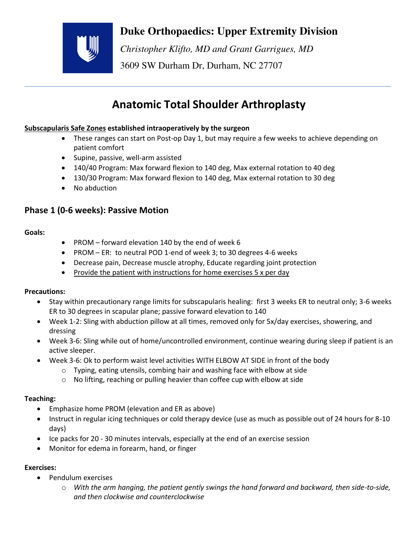

# **Duke Orthopaedics: Upper Extremity Division**

 *Christopher Klifto, MD and Grant Garrigues, MD*  3609 SW Durham Dr, Durham, NC 27707

# **Anatomic Total Shoulder Arthroplasty**

## **Subscapularis Safe Zones established intraoperatively by the surgeon**

- These ranges can start on Post-op Day 1, but may require a few weeks to achieve depending on patient comfort
- Supine, passive, well-arm assisted
- 140/40 Program: Max forward flexion to 140 deg, Max external rotation to 40 deg
- 130/30 Program: Max forward flexion to 140 deg, Max external rotation to 30 deg
- No abduction

# **Phase 1 (0-6 weeks): Passive Motion**

#### **Goals:**

- PROM forward elevation 140 by the end of week 6
- PROM ER: to neutral POD 1-end of week 3; to 30 degrees 4-6 weeks
- Decrease pain, Decrease muscle atrophy, Educate regarding joint protection
- Provide the patient with instructions for home exercises  $5 \times per$  day

### **Precautions:**

- Stay within precautionary range limits for subscapularis healing: first 3 weeks ER to neutral only; 3-6 weeks ER to 30 degrees in scapular plane; passive forward elevation to 140
- Week 1-2: Sling with abduction pillow at all times, removed only for 5x/day exercises, showering, and dressing
- Week 3-6: Sling while out of home/uncontrolled environment, continue wearing during sleep if patient is an active sleeper.
- Week 3-6: Ok to perform waist level activities WITH ELBOW AT SIDE in front of the body
	- o Typing, eating utensils, combing hair and washing face with elbow at side
	- o No lifting, reaching or pulling heavier than coffee cup with elbow at side

### **Teaching:**

- Emphasize home PROM (elevation and ER as above)
- Instruct in regular icing techniques or cold therapy device (use as much as possible out of 24 hours for 8-10 days)
- Ice packs for 20 30 minutes intervals, especially at the end of an exercise session
- Monitor for edema in forearm, hand, or finger

## **Exercises:**

- Pendulum exercises
	- o *With the arm hanging, the patient gently swings the hand forward and backward, then side-to-side, and then clockwise and counterclockwise*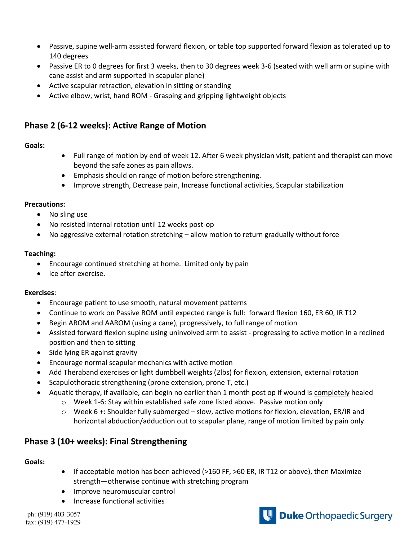- Passive, supine well-arm assisted forward flexion, or table top supported forward flexion as tolerated up to 140 degrees
- Passive ER to 0 degrees for first 3 weeks, then to 30 degrees week 3-6 (seated with well arm or supine with cane assist and arm supported in scapular plane)
- Active scapular retraction, elevation in sitting or standing
- Active elbow, wrist, hand ROM Grasping and gripping lightweight objects

# **Phase 2 (6-12 weeks): Active Range of Motion**

#### **Goals:**

- Full range of motion by end of week 12. After 6 week physician visit, patient and therapist can move beyond the safe zones as pain allows.
- Emphasis should on range of motion before strengthening.
- Improve strength, Decrease pain, Increase functional activities, Scapular stabilization

#### **Precautions:**

- No sling use
- No resisted internal rotation until 12 weeks post-op
- No aggressive external rotation stretching allow motion to return gradually without force

#### **Teaching:**

- Encourage continued stretching at home. Limited only by pain
- Ice after exercise.

#### **Exercises**:

- Encourage patient to use smooth, natural movement patterns
- Continue to work on Passive ROM until expected range is full: forward flexion 160, ER 60, IR T12
- Begin AROM and AAROM (using a cane), progressively, to full range of motion
- Assisted forward flexion supine using uninvolved arm to assist progressing to active motion in a reclined position and then to sitting
- Side lying ER against gravity
- Encourage normal scapular mechanics with active motion
- Add Theraband exercises or light dumbbell weights (2lbs) for flexion, extension, external rotation
- Scapulothoracic strengthening (prone extension, prone T, etc.)
	- Aquatic therapy, if available, can begin no earlier than 1 month post op if wound is completely healed
		- o Week 1-6: Stay within established safe zone listed above. Passive motion only
		- $\circ$  Week 6 +: Shoulder fully submerged slow, active motions for flexion, elevation, ER/IR and horizontal abduction/adduction out to scapular plane, range of motion limited by pain only

# **Phase 3 (10+ weeks): Final Strengthening**

#### **Goals:**

- If acceptable motion has been achieved (>160 FF, >60 ER, IR T12 or above), then Maximize strength—otherwise continue with stretching program
- Improve neuromuscular control
- Increase functional activities

ph: (919) 403-3057 fax: (919) 477-1929